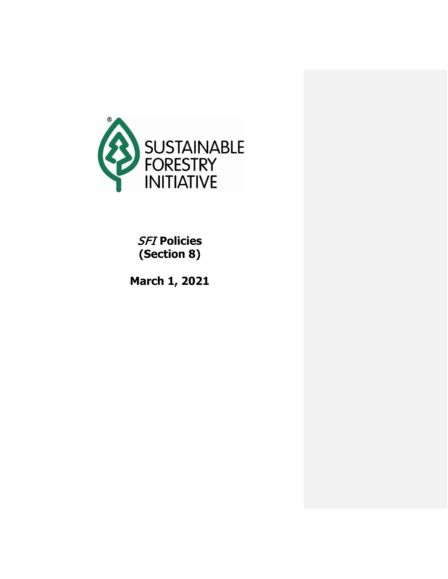

SFI **Policies (Section 8)**

**March 1, 2021**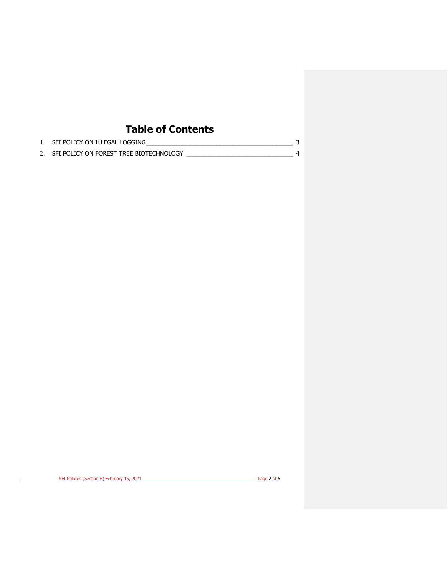## **Table of Contents**

| 1. SFI POLICY ON ILLEGAL LOGGING           |  |
|--------------------------------------------|--|
| 2. SFI POLICY ON FOREST TREE BIOTECHNOLOGY |  |

 $\overline{\mathbb{L}}$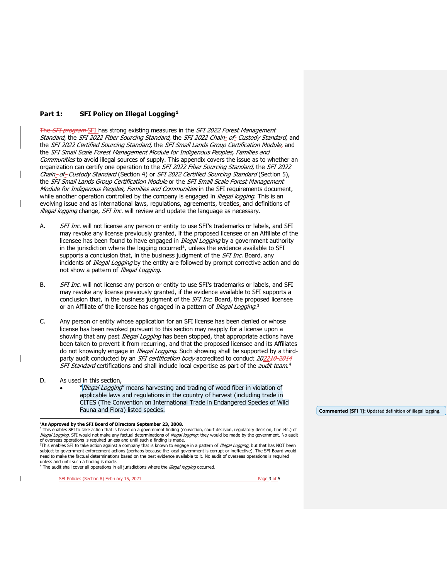## <span id="page-2-0"></span>**Part 1: SFI Policy on Illegal Logging[1](#page-2-1)**

The SFI program SFI has strong existing measures in the SFI 2022 Forest Management Standard, the SFI 2022 Fiber Sourcing Standard, the SFI 2022 Chain-of-Custody Standard, and the SFI 2022 Certified Sourcing Standard, the SFI Small Lands Group Certification Module, and the SFI Small Scale Forest Management Module for Indigenous Peoples, Families and Communities to avoid illegal sources of supply. This appendix covers the issue as to whether an organization can certify one operation to the SFI 2022 Fiber Sourcing Standard, the SFI 2022 Chain-of-Custody Standard (Section 4) or SFI 2022 Certified Sourcing Standard (Section 5), the SFI Small Lands Group Certification Module or the SFI Small Scale Forest Management Module for Indigenous Peoples, Families and Communities in the SFI requirements document, while another operation controlled by the company is engaged in *illegal logging*. This is an evolving issue and as international laws, regulations, agreements, treaties, and definitions of illegal logging change, SFI Inc. will review and update the language as necessary.

- A. SFI Inc. will not license any person or entity to use SFI's trademarks or labels, and SFI may revoke any license previously granted, if the proposed licensee or an Affiliate of the licensee has been found to have engaged in *Illegal Logging* by a government authority in the jurisdiction where the logging occurred<sup>2</sup>, unless the evidence available to SFI supports a conclusion that, in the business judgment of the *SFI Inc.* Board, any incidents of *Illegal Logging* by the entity are followed by prompt corrective action and do not show a pattern of Illegal Logging.
- B. SFI Inc. will not license any person or entity to use SFI's trademarks or labels, and SFI may revoke any license previously granted, if the evidence available to SFI supports a conclusion that, in the business judgment of the SFI Inc. Board, the proposed licensee or an Affiliate of the licensee has engaged in a pattern of *Illegal Logging*.<sup>[3](#page-2-3)</sup>
- C. Any person or entity whose application for an SFI license has been denied or whose license has been revoked pursuant to this section may reapply for a license upon a showing that any past *Illegal Logging* has been stopped, that appropriate actions have been taken to prevent it from recurring, and that the proposed licensee and its Affiliates do not knowingly engage in *Illegal Logging*. Such showing shall be supported by a thirdparty audit conducted by an *SFI certification body* accredited to conduct 202210-2014 SFI Standard certifications and shall include local expertise as part of the *audit team*.<sup>[4](#page-2-4)</sup>
- D. As used in this section,
	- "Illegal Logging" means harvesting and trading of wood fiber in violation of applicable laws and regulations in the country of harvest (including trade in CITES (The Convention on International Trade in Endangered Species of Wild Fauna and Flora) listed species.

<sup>2</sup> This enables SFI to take action that is based on a government finding (conviction, court decision, regulatory decision, fine etc.) of<br>*Illegal Logging.* SFI would not make any factual determinations of *illegal logging* of overseas operations is required unless and until such a finding is made.

<sup>3</sup>This enables SFI to take action against a company that is known to engage in a pattern of *Illegal Logging*, but that has NOT been subject to government enforcement actions (perhaps because the local government is corrupt or ineffective). The SFI Board would<br>need to make the factual determinations based on the best evidence available to it. No audit o unless and until such a finding is made.

<span id="page-2-4"></span><span id="page-2-3"></span><span id="page-2-2"></span><span id="page-2-1"></span>The audit shall cover all operations in all jurisdictions where the *illegal logging* occurred.

**Commented [SFI 1]:** Updated definition of illegal logging.

<sup>1</sup> **As Approved by the SFI Board of Directors September 23, 2008.**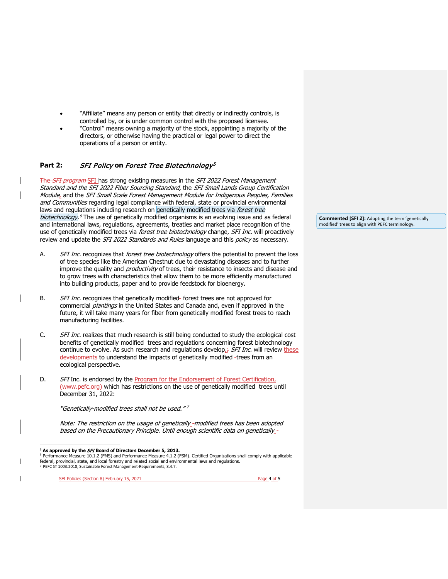- "Affiliate" means any person or entity that directly or indirectly controls, is controlled by, or is under common control with the proposed licensee.
- "Control" means owning a majority of the stock, appointing a majority of the directors, or otherwise having the practical or legal power to direct the operations of a person or entity.

## <span id="page-3-0"></span>Part 2: SFI Policy on Forest Tree Biotechnology<sup>[5](#page-3-1)</sup>

The SFI program SFI has strong existing measures in the SFI 2022 Forest Management Standard and the SFI 2022 Fiber Sourcing Standard, the SFI Small Lands Group Certification Module, and the SFI Small Scale Forest Management Module for Indigenous Peoples, Families and Communities regarding legal compliance with federal, state or provincial environmental laws and regulations including research on genetically modified trees via *forest tree* biotechnology.<sup>[6](#page-3-2)</sup> The use of genetically modified organisms is an evolving issue and as federal and international laws, regulations, agreements, treaties and market place recognition of the use of genetically modified trees via *forest tree biotechnology* change, SFI Inc. will proactively review and update the SFI 2022 Standards and Rules language and this policy as necessary.

- A. SFI Inc. recognizes that forest tree biotechnology offers the potential to prevent the loss of tree species like the American Chestnut due to devastating diseases and to further improve the quality and *productivity* of trees, their resistance to insects and disease and to grow trees with characteristics that allow them to be more efficiently manufactured into building products, paper and to provide feedstock for bioenergy.
- B. SFI Inc. recognizes that genetically modified-forest trees are not approved for commercial *plantings* in the United States and Canada and, even if approved in the future, it will take many years for fiber from genetically modified forest trees to reach manufacturing facilities.
- C. SFI Inc. realizes that much research is still being conducted to study the ecological cost benefits of genetically modified -trees and regulations concerning forest biotechnology continue to evolve. As such research and regulations develop,  $\frac{1}{2}$  SFI Inc. will review these developments to understand the impacts of genetically modified -trees from an ecological perspective.
- D. SFI Inc. is endorsed by the [Program for the Endorsement of Forest Certification,](http://www.pefc.org/) (www.pefc.org) which has restrictions on the use of genetically modified -trees until December 31, 2022:

"Genetically-modified trees shall not be used."<sup>7</sup>

Note: The restriction on the usage of genetically -modified trees has been adopted based on the Precautionary Principle. Until enough scientific data on genetically-

<sup>5</sup> **As approved by the** SFI **Board of Directors December 5, 2013.**

<span id="page-3-2"></span><span id="page-3-1"></span><sup>6</sup> Performance Measure 10.1.2 (FMS) and Performance Measure 4.1.2 (FSM). Certified Organizations shall comply with applicable federal, provincial, state, and local forestry and related social and environmental laws and regulations. <sup>7</sup> PEFC ST 1003:2018, Sustainable Forest Management-Requirements, 8.4.7.

**Commented [SFI 2]:** Adopting the term 'genetically modified' trees to align with PEFC terminology.